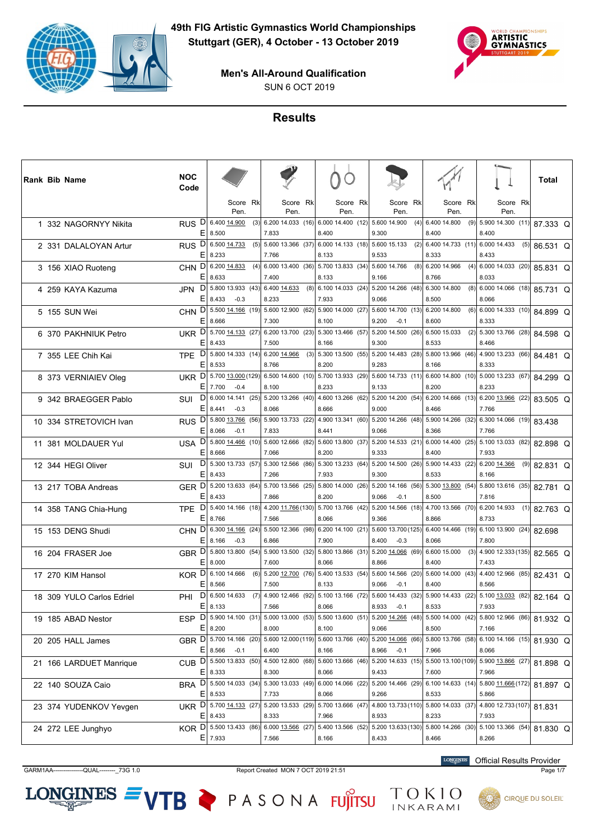



SUN 6 OCT 2019

# **Results**

|  | Rank Bib Name             | <b>NOC</b><br>Code     |                                                |     |                            |     |                                                           |                                                                                             |     |                                         |     |                                          |     | Total    |  |
|--|---------------------------|------------------------|------------------------------------------------|-----|----------------------------|-----|-----------------------------------------------------------|---------------------------------------------------------------------------------------------|-----|-----------------------------------------|-----|------------------------------------------|-----|----------|--|
|  |                           |                        | Score Rk<br>Pen.                               |     | Score Rk<br>Pen.           |     | Score Rk<br>Pen.                                          | Score Rk<br>Pen.                                                                            |     | Score Rk<br>Pen.                        |     | Score Rk<br>Pen.                         |     |          |  |
|  | 1 332 NAGORNYY Nikita     | D<br><b>RUS</b><br>E   | 6.400 14.900<br>8.500                          | (3) | 7.833                      |     | $6.200$ 14.033 (16) 6.000 14.400 (12)<br>8.400            | 5.600 14.900<br>9.300                                                                       | (4) | 6.400 14.800<br>8.400                   | (9) | 5.900 14.300 (11)<br>8.400               |     | 87.333 Q |  |
|  | 2 331 DALALOYAN Artur     | RUS <sup>D</sup><br>E. | 6.500 14.733<br>8.233                          | (5) | 7.766                      |     | 5.600 13.366 (37) 6.000 14.133 (18) 5.600 15.133<br>8.133 | 9.533                                                                                       | (2) | 6.400 14.733 (11) 6.000 14.433<br>8.333 |     | 8.433                                    | (5) | 86.531 Q |  |
|  | 3 156 XIAO Ruoteng        | <b>CHN</b><br>E.       | D 6.200 14.833<br>8.633                        | (4) | 6.00013.400(36)<br>7.400   |     | 5.700 13.833 (34)<br>8.133                                | 5.600 14.766<br>9.166                                                                       | (8) | 6.200 14.966<br>8.766                   | (4) | 6.000 14.033 (20)<br>8.033               |     | 85.831 Q |  |
|  | 4 259 KAYA Kazuma         | JPN                    | $D$ 5.800 13.933 (43)<br>$E$   8.433<br>$-0.3$ |     | 6.400 14.633<br>8.233      | (8) | 6.100 14.033 (24)<br>7.933                                | 5.200 14.266 (48)<br>9.066                                                                  |     | 6.300 14.800<br>8.500                   | (8) | 6.000 14.066 (18)<br>8.066               |     | 85.731 Q |  |
|  | 5 155 SUN Wei             | CHN D<br>ΕI            | 5.500 14.166 (19)<br>8.666                     |     | 7.300                      |     | 5.600 12.900 (62) 5.900 14.000 (27)<br>8.100              | 5.600 14.700 (13) 6.200 14.800<br>9.200<br>$-0.1$                                           |     | 8.600                                   | (6) | 6.000 14.333 (10)<br>8.333               |     | 84.899 Q |  |
|  | 6 370 PAKHNIUK Petro      |                        | UKR D 5.700 14.133 (27)<br>$E$   8.433         |     | 7.500                      |     | 6.200 13.700 (23) 5.300 13.466 (57)<br>8.166              | 5.200 14.500 (26)<br>9.300                                                                  |     | 6.500 15.033<br>8.533                   | (2) | 5.300 13.766 (28)<br>8.466               |     | 84.598 Q |  |
|  | 7 355 LEE Chih Kai        | DI<br><b>TPE</b><br>E  | 5.800 14.333 (14)<br>8.533                     |     | 6.200 14.966<br>8.766      | (3) | 5.300 13.500 (55)<br>8.200                                | 5.200 14.483 (28)<br>9.283                                                                  |     | 5.800 13.966 (46)<br>8.166              |     | 4.900 13.233 (66)<br>8.333               |     | 84.481 Q |  |
|  | 8 373 VERNIAIEV Oleg      | UKR D<br>E.            | 5.700 13.000 (129)<br>7.700<br>$-0.4$          |     | 8.100                      |     | 6.500 14.600 (10) 5.700 13.933 (29)<br>8.233              | 5.600 14.733 (11) 6.600 14.800 (10) 5.000 13.233 (67)<br>9.133                              |     | 8.200                                   |     | 8.233                                    |     | 84.299 Q |  |
|  | 9 342 BRAEGGER Pablo      | D<br>SUI<br>ΕI         | 6.000 14.141 (25)<br>8.441<br>$-0.3$           |     | 5.20013.266(40)<br>8.066   |     | 4.600 13.266 (62)<br>8.666                                | 5.200 14.200 (54) 6.200 14.666 (13)<br>9.000                                                |     | 8.466                                   |     | 6.200 13.966 (22)<br>7.766               |     | 83.505 Q |  |
|  | 10 334 STRETOVICH Ivan    | DI<br><b>RUS</b><br>E. | 5.800 13.766 (56)<br>8.066<br>$-0.1$           |     | 5.900 13.733 (22)<br>7.833 |     | 4.900 13.341 (60)<br>8.441                                | 5.200 14.266 (48)<br>9.066                                                                  |     | 5.900 14.266 (32)<br>8.366              |     | 6.300 14.066 (19)<br>7.766               |     | 83.438   |  |
|  | 11 381 MOLDAUER Yul       | USA D<br>ΕI            | 5.800 14.466 (10)<br>8.666                     |     | 5.600 12.666 (82)<br>7.066 |     | 5.60013.800(37)<br>8.200                                  | 5.200 14.533 (21) 6.000 14.400 (25) 5.100 13.033 (82)<br>9.333                              |     | 8.400                                   |     | 7.933                                    |     | 82.898 Q |  |
|  | 12 344 HEGI Oliver        | D<br>SUI               | 5.300 13.733 (57)<br>$E$ 8.433                 |     | 5.300 12.566 (86)<br>7.266 |     | 5.300 13.233 (64)<br>7.933                                | 5.200 14.500 (26)<br>9.300                                                                  |     | 5.900 14.433 (22)<br>8.533              |     | 6.200 14.366<br>8.166                    | (9) | 82.831 Q |  |
|  | 13 217 TOBA Andreas       | GER D                  | 5.200 13.633 (64)<br>$E$   8.433               |     | 5.700 13.566 (25)<br>7.866 |     | 5.800 14.000 (26)<br>8.200                                | $5.200$ 14.166 (56)<br>9.066<br>$-0.1$                                                      |     | 5.300 13.800 (54)<br>8.500              |     | 5.800 13.616 (35)<br>7.816               |     | 82.781 Q |  |
|  | 14 358 TANG Chia-Hung     | TPE D<br>E.            | 5.400 14.166 (18)<br>8.766                     |     | 7.566                      |     | 4.200 11.766 (130) 5.700 13.766 (42)<br>8.066             | 5.200 14.566 (18)<br>9.366                                                                  |     | 4.700 13.566 (70) 6.200 14.933<br>8.866 |     | 8.733                                    | (1) | 82.763 Q |  |
|  | 15 153 DENG Shudi         |                        | CHN D 6.300 14.166 (24)<br>$E$ 8.166<br>$-0.3$ |     | 6.866                      |     | 5.500 12.366 (98) 6.200 14.100 (21)<br>7.900              | 5.600 13.700 (125) 6.400 14.466 (19) 6.100 13.900 (24)<br>8.400<br>$-0.3$                   |     | 8.066                                   |     | 7.800                                    |     | 82.698   |  |
|  | 16 204 FRASER Joe         | GBR D<br>E.            | 5.800 13.800 (54)<br>8.000                     |     | 5.900 13.500 (32)<br>7.600 |     | 5.800 13.866 (31)<br>8.066                                | 5.200 14.066 (69)<br>8.866                                                                  |     | 6.600 15.000<br>8.400                   | (3) | 4.900 12.333 (135)<br>7.433              |     | 82.565 Q |  |
|  | 17 270 KIM Hansol         | EI                     | KOR D 6.100 14.666<br>8.566                    | (6) | 7.500                      |     | $5.200$ 12.700 (76) 5.400 13.533 (54)<br>8.133            | 5.600 14.566 (20) 5.600 14.000 (43)<br>9.066<br>$-0.1$                                      |     | 8.400                                   |     | 4.400 12.966 (85)<br>8.566               |     | 82.431 Q |  |
|  | 18 309 YULO Carlos Edriel | PHI<br>E               | $D$ 6.500 14.633<br>8.133                      | (7) | 4.900 12.466 (92)<br>7.566 |     | 5.100 13.166 (72)<br>8.066                                | 5.600 14.433 (32)<br>8.933<br>$-0.1$                                                        |     | 5.900 14.433 (22)<br>8.533              |     | 5.100 13.033 (82)<br>7.933               |     | 82.164 Q |  |
|  | 19 185 ABAD Nestor        |                        | ESP D 5.900 14.100 (31)<br>E 8.200             |     | 8.000                      |     | $5.000$ 13.000 (53) 5.500 13.600 (51)<br>8.100            | 5.200 14.266 (48)<br>9.066                                                                  |     | 5.500 14.000 (42)<br>8.500              |     | 5.800 12.966 (86)<br>7.166               |     | 81.932 Q |  |
|  | 20 205 HALL James         |                        | GBR D 5.700 14.166 (20)<br>$E$ 8.566<br>$-0.1$ |     | 6.400                      |     | 8.166                                                     | 5.600 12.000 (119) 5.600 13.766 (40) 5.200 14.066 (66) 5.800 13.766 (58)<br>8.966<br>$-0.1$ |     | 7.966                                   |     | 6.100 14.166 (15)<br>8.066               |     | 81.930 Q |  |
|  | 21 166 LARDUET Manrique   |                        | CUB D 5.500 13.833 (50)<br>$E$   8.333         |     | 4.500 12.800 (68)<br>8.300 |     | 5.600 13.666 (46)<br>8.066                                | $5.200$ 14.633 (15)<br>9.433                                                                |     | 5.500 13.100 (109)<br>7.600             |     | $5.900 \underline{13.866}$ (27)<br>7.966 |     | 81.898 Q |  |
|  | 22 140 SOUZA Caio         |                        | BRA D 5.500 14.033 (34)<br>$E$   8.533         |     | 5.300 13.033 (49)<br>7.733 |     | 6.000 14.066 (22)<br>8.066                                | 5.200 14.466 (29) 6.100 14.633 (14)<br>9.266                                                |     | 8.533                                   |     | 5.800 11.666 (172)<br>5.866              |     | 81.897 Q |  |
|  | 23 374 YUDENKOV Yevgen    |                        | UKR D 5.700 14.133 (27)<br>$E$   8.433         |     | 5.200 13.533 (29)<br>8.333 |     | 5.700 13.666 (47)<br>7.966                                | 4.800 13.733 (110) 5.800 14.033 (37)<br>8.933                                               |     | 8.233                                   |     | 4.800 12.733 (107)<br>7.933              |     | 81.831   |  |
|  | 24 272 LEE Junghyo        |                        | KOR D 5.500 13.433 (86)<br>$E$ 7.933           |     | 6.000 13.566 (27)<br>7.566 |     | 5.400 13.566 (52)<br>8.166                                | 5.200 13.633 (130) 5.800 14.266 (30)<br>8.433                                               |     | 8.466                                   |     | 5.100 13.366 (54)<br>8.266               |     | 81.830 Q |  |

GARM1AA---------------QUAL--------\_73G 1.0 Report Created MON 7 OCT 2019 21:51 Page 1/7

 $LONGINES =$ 

VTB PASONA FUJITSU

**LONGINES** Official Results Provider

TOKIO<br>INKARAMI

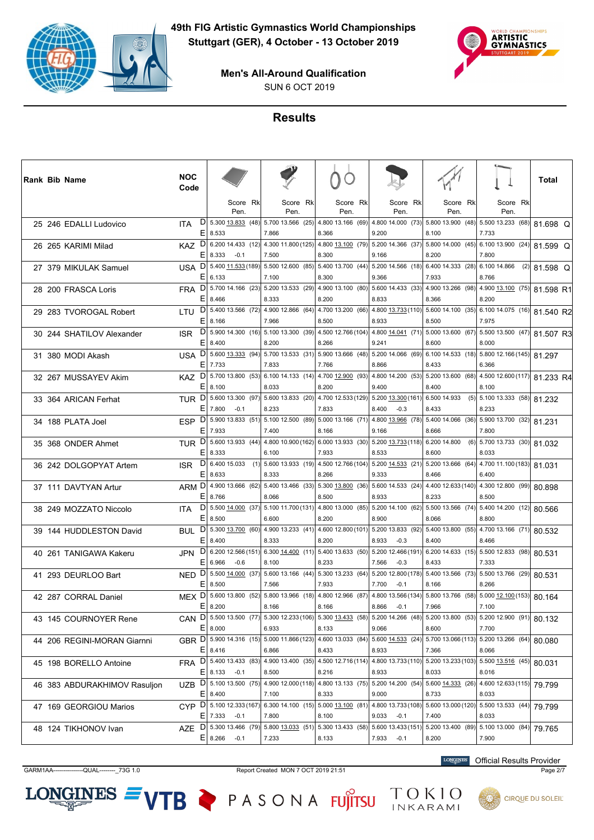



SUN 6 OCT 2019

# **Results**

| Rank Bib Name |                              | <b>NOC</b><br>Code         |                                                |     |                                                     |                                                                 |                                                                                                                           |                  |                                                    | Total          |
|---------------|------------------------------|----------------------------|------------------------------------------------|-----|-----------------------------------------------------|-----------------------------------------------------------------|---------------------------------------------------------------------------------------------------------------------------|------------------|----------------------------------------------------|----------------|
|               |                              |                            | Score Rk<br>Pen.                               |     | Score Rk<br>Pen.                                    | Score Rk<br>Pen.                                                | Score Rk<br>Pen.                                                                                                          | Score Rk<br>Pen. | Score Rk<br>Pen.                                   |                |
|               | 25 246 EDALLI Ludovico       | D<br>ITA                   | 5.300 13.833 (48)<br>$E$   8.533               |     | 7.866                                               | 5.700 13.566 (25) 4.800 13.166 (69)<br>8.366                    | 4.800 14.000 (73) 5.800 13.900 (48) 5.500 13.233 (68)<br>9.200                                                            | 8.100            | 7.733                                              | 81.698 Q       |
|               | 26 265 KARIMI Milad          | $KAZ$ D<br>E               | 6.200 14.433 (12)<br>8.333<br>$-0.1$           |     | 7.500                                               | 4.300 11.800 (125) 4.800 13.100 (79)<br>8.300                   | 5.200 14.366 (37) 5.800 14.000 (45) 6.100 13.900 (24)<br>9.166                                                            | 8.200            | 7.800                                              | 81.599 Q       |
|               | 27 379 MIKULAK Samuel        | $\mathsf{D}$<br>USA        | 5.400 11.533 (189)<br>E 6.133                  |     | 7.100                                               | 5.500 12.600 (85) 5.400 13.700 (44)<br>8.300                    | 5.200 14.566 (18) 6.400 14.333 (28)<br>9.366                                                                              | 7.933            | 6.100 14.866<br>8.766                              | $(2)$ 81.598 Q |
|               | 28 200 FRASCA Loris          | <b>FRA</b>                 | $DI$ 5.700 14.166 (23)<br>$E$ 8.466            |     | 5.20013.533(29) <br>8.333                           | 4.900 13.100 (80)<br>8.200                                      | 5.600 14.433 (33) 4.900 13.266 (98)<br>8.833                                                                              | 8.366            | 4.900 13.100 (75) 81.598 R1<br>8.200               |                |
|               | 29 283 TVOROGAL Robert       | E.                         | LTU $D$ 5.400 13.566 (72)<br>8.166             |     | 4.900 12.866 (64)<br>7.966                          | 4.700 13.200 (66)<br>8.500                                      | 4.800 13.733 (110) 5.600 14.100 (35) 6.100 14.075 (16)<br>8.933                                                           | 8.500            | 7.975                                              | 81.540 R2      |
|               | 30 244 SHATILOV Alexander    | D<br><b>ISR</b>            | $E$ 8.400                                      |     | 8.200                                               | 5.900 14.300 (16) 5.100 13.300 (39) 4.500 12.766 (104)<br>8.266 | 4.800 14.041 (71) 5.000 13.600 (67) 5.500 13.500 (47) 81.507 R3<br>9.241                                                  | 8.600            | 8.000                                              |                |
|               | 31 380 MODI Akash            | DI<br>USA                  | 5.600 13.333 (94)<br>$E$   7.733               |     | 7.833                                               | 5.700 13.533 (31) 5.900 13.666 (48)<br>7.766                    | 5.200 14.066 (69) 6.100 14.533 (18) 5.800 12.166 (145) 81.297<br>8.866                                                    | 8.433            | 6.366                                              |                |
|               | 32 267 MUSSAYEV Akim         | KAZ <sup>D </sup><br>E     | 5.700 13.800 (53)<br>8.100                     |     | 8.033                                               | 6.100 14.133 (14) 4.700 12.900 (93)<br>8.200                    | 4.800 14.200 (53)<br>9.400                                                                                                | 8.400            | $5.200$ 13.600 (68) 4.500 12.600 (117)<br>8.100    | 81.233 R4      |
|               | 33 364 ARICAN Ferhat         |                            | TUR D 5.600 13.300 (97)<br>$E$ 7.800<br>$-0.1$ |     | 8.233                                               | 5.600 13.833 (20) 4.700 12.533 (129)<br>7.833                   | 5.200 13.300 (161) 6.500 14.933<br>8.400<br>$-0.3$                                                                        | 8.433            | $\overline{(5)}$ 5.100 13.333 (58) 81.232<br>8.233 |                |
|               | 34 188 PLATA Joel            | <b>ESP</b><br>ΕI           | $D$   5.900 13.833 (51) <br>7.933              |     | $5.100$ 12.500 (89)<br>7.400                        | 5.000 13.166 (71)<br>8.166                                      | 4.800 13.966 (78) 5.400 14.066 (36)<br>9.166                                                                              | 8.666            | 5.900 13.700 (32)<br>7.800                         | 81.231         |
|               | 35 368 ONDER Ahmet           | TUR <sup>D</sup><br>E.     | 5.600 13.933 (44)<br>8.333                     |     | 6.100                                               | 7.933                                                           | 4.800 10.900 (162) 6.000 13.933 (30) 5.200 13.733 (118) 6.200 14.800<br>8.533                                             | 8.600            | 5.700 13.733 (30)<br>(6)<br>8.033                  | 81.032         |
|               | 36 242 DOLGOPYAT Artem       | $\mathsf{D}$<br><b>ISR</b> | 6.400 15.033<br>$E$   8.633                    | (1) | 8.333                                               | 5.600 13.933 (19) 4.500 12.766 (104)<br>8.266                   | 5.200 14.533 (21) 5.200 13.666 (64) 4.700 11.100 (183) 81.031<br>9.333                                                    | 8.466            | 6.400                                              |                |
|               | 37 111 DAVTYAN Artur         | D.<br>ARM                  | 4.900 13.666 (62)<br>$E$ 8.766                 |     | 8.066                                               | 5.400 13.466 (33) 5.300 13.800 (36)<br>8.500                    | 5.600 14.533 (24)<br>8.933                                                                                                | 8.233            | 4.400 12.633 (140) 4.300 12.800 (99)<br>8.500      | 80.898         |
|               | 38 249 MOZZATO Niccolo       | D<br><b>ITA</b><br>E       | 5.500 14.000 (37)<br>8.500                     |     | 6.600                                               | 8.200                                                           | 5.100 11.700 (131) 4.800 13.000 (85) 5.200 14.100 (62)<br>8.900                                                           | 8.066            | 5.500 13.566 (74) 5.400 14.200 (12)<br>8.800       | 80.566         |
|               | 39 144 HUDDLESTON David      | $\mathsf{D}$<br>BUL<br>ΕI  | 5.300 13.700 (60)<br>8.400                     |     | 8.333                                               | 4.900 13.233 (41) 4.600 12.800 (101)<br>8.200                   | 5.200 13.833 (92) 5.400 13.800 (55) 4.700 13.166 (71) 80.532<br>8.933<br>$-0.3$                                           | 8.400            | 8.466                                              |                |
|               | 40 261 TANIGAWA Kakeru       | <b>JPN</b>                 | $D$   6.200 12.566 (151)<br>E 6.966<br>$-0.6$  |     | 8.100                                               | 6.300 14.400 (11) 5.400 13.633 (50)<br>8.233                    | 5.200 12.466 (191) 6.200 14.633 (15)<br>$-0.3$<br>7.566                                                                   | 8.433            | 5.500 12.833 (98)<br>7.333                         | 80.531         |
|               | 41 293 DEURLOO Bart          | NED <sub>D</sub><br>EI     | 5.500 14.000 (37)<br>8.500                     |     | 7.566                                               | $5.60013.166$ (44) $5.30013.233$ (64)<br>7.933                  | 5.200 12.800 (178) 5.400 13.566 (73)<br>$-0.1$<br>7.700                                                                   | 8.166            | 5.500 13.766 (29)<br>8.266                         | 80.531         |
|               | 42 287 CORRAL Daniel         | E                          | MEX D 5.600 13.800 (52)<br>8.200               |     | 8.166                                               | 5.800 13.966 (18) 4.800 12.966 (87)<br>8.166                    | 4.800 13.566 (134) 5.800 13.766 (58) 5.000 12.100 (153)<br>8.866<br>$-0.1$                                                | 7.966            | 7.100                                              | 80.164         |
|               | 43 145 COURNOYER Rene        | CAN.                       | E 8.000                                        |     | 6.933                                               | 8.133                                                           | $D$ 5.500 13.500 (77) 5.300 12.233 (106) 5.300 13.433 (58) 5.200 14.266 (48) 5.200 13.800 (53) 5.200 12.900 (91)<br>9.066 | 8.600            | 7.700                                              | 80.132         |
|               | 44 206 REGINI-MORAN Giarnni  |                            | $E$   8.416                                    |     | GBR D 5.900 14.316 (15) 5.000 11.866 (123)<br>6.866 | 8.433                                                           | 4.600 13.033 (84) 5.600 14.533 (24) 5.700 13.066 (113) 5.200 13.266 (64)<br>8.933                                         | 7.366            | 8.066                                              | 80.080         |
|               | 45 198 BORELLO Antoine       | <b>FRA</b>                 | $D$ 5.400 13.433 (83)<br>$E$   8.133 -0.1      |     | 8.500                                               | 8.216                                                           | 4.900 13.400 (35) 4.500 12.716 (114) 4.800 13.733 (110) 5.200 13.233 (103) 5.500 13.516 (45)<br>8.933                     | 8.033            | 8.016                                              | 80.031         |
|               | 46 383 ABDURAKHIMOV Rasuljon | <b>UZB</b>                 | $D$   5.100 13.500 (75)<br>$E$   8.400         |     | 4.900 12.000 (118)<br>7.100                         | 4.800 13.133 (75)<br>8.333                                      | 5.200 14.200 (54) 5.600 14.333 (26)<br>9.000                                                                              | 8.733            | 4.600 12.633 (115)<br>8.033                        | 79.799         |
|               | 47 169 GEORGIOU Marios       |                            | CYP D 5.100 12.333 (167)<br>$E$   7.333 -0.1   |     | 7.800                                               | 8.100                                                           | 6.300 14.100 (15)  5.000 13.100 (81)  4.800 13.733 (108)  5.600 13.000 (120)  5.500 13.533 (44)<br>$9.033 -0.1$           | 7.400            | 8.033                                              | 79.799         |
|               | 48 124 TIKHONOV Ivan         | <b>AZE</b>                 | $D$   5.300 13.466 (79)<br>$E$ 8.266<br>$-0.1$ |     | 7.233                                               | 5.800 13.033 (51) 5.300 13.433 (58)<br>8.133                    | 5.600 13.433 (151) 5.200 13.400 (89) 5.100 13.000 (84)<br>$7.933 -0.1$                                                    | 8.200            | 7.900                                              | 79.765         |

 $LONGINES =$ 

GARM1AA---------------QUAL--------\_73G 1.0 Report Created MON 7 OCT 2019 21:51 Page 2/7

VTB PASONA FUJITSU

**LONGINES** Official Results Provider

TOKIO<br>INKARAMI

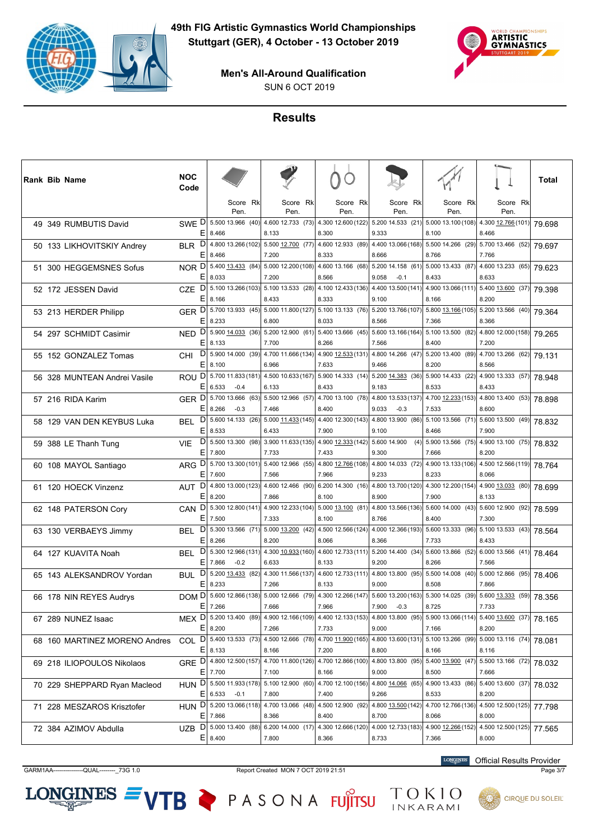



SUN 6 OCT 2019

# **Results**

| Rank Bib Name                 | <b>NOC</b><br>Code     |                                           |          |                                                                        |                             |          |                                       |                  |                                                                 | Total  |
|-------------------------------|------------------------|-------------------------------------------|----------|------------------------------------------------------------------------|-----------------------------|----------|---------------------------------------|------------------|-----------------------------------------------------------------|--------|
|                               |                        | Pen.                                      | Score Rk | Score Rk<br>Pen.                                                       | Pen.                        | Score Rk | Score Rk<br>Pen.                      | Score Rk<br>Pen. | Score Rk<br>Pen.                                                |        |
| 49 349 RUMBUTIS David         | SWE D                  | 5.500 13.966 (40)<br>$E$ 8.466            |          | 4.600 12.733 (73) 4.300 12.600 (122)<br>8.133                          | 8.300                       |          | $5.200$ 14.533 (21)<br>9.333          | 8.100            | 5.000 13.100 (108) 4.300 12.766 (101)<br>8.466                  | 79.698 |
| 50 133 LIKHOVITSKIY Andrey    | BLR D<br>E             | 4.800 13.266 (102)<br>8.466               |          | $5.500$ 12.700 (77)<br>7.200                                           | 4.600 12.933 (89)<br>8.333  |          | 4.400 13.066 (168)<br>8.666           | 8.766            | 5.500 14.266 (29) 5.700 13.466 (52)<br>7.766                    | 79.697 |
| 51 300 HEGGEMSNES Sofus       | E.                     | NOR D 5.400 13.433 (84)<br>8.033          |          | 5.000 12.200 (108)<br>7.200                                            | 4.600 13.166 (68)<br>8.566  |          | 5.200 14.158 (61)<br>9.058<br>$-0.1$  | 8.433            | 5.000 13.433 (87) 4.600 13.233 (65)<br>8.633                    | 79.623 |
| 52 172 JESSEN David           | <b>CZE</b>             | $E$ 8.166                                 |          | $D$ 5.100 13.266 (103) 5.100 13.533 (28) 4.100 12.433 (136)<br>8.433   | 8.333                       |          | 4.400 13.500 (141)<br>9.100           | 8.166            | 4.900 13.066 (111) 5.400 13.600 (37)<br>8.200                   | 79.398 |
| 53 213 HERDER Philipp         | GER <sup>D </sup><br>E | 8.233                                     |          | 5.700 13.933 (45) 5.000 11.800 (127) 5.100 13.133 (76)<br>6.800        | 8.033                       |          | 5.200 13.766 (107)<br>8.566           | 7.366            | 5.800 13.166 (105) 5.200 13.566 (40)<br>8.366                   | 79.364 |
| 54 297 SCHMIDT Casimir        | D<br><b>NED</b>        | 5.900 14.033 (36)<br>$E$   8.133          |          | $5.200$ 12.900 (61) $5.400$ 13.666 (45)<br>7.700                       | 8.266                       |          | 5.600 13.166 (164)<br>7.566           | 8.400            | 5.100 13.500 (82) 4.800 12.000 (158)<br>7.200                   | 79.265 |
| 55 152 GONZALEZ Tomas         | D<br><b>CHI</b>        | 5.900 14.000 (39)<br>$E$   8.100          |          | 4.700 11.666 (134)<br>6.966                                            | 4.900 12.533 (131)<br>7.633 |          | 4.800 14.266 (47)<br>9.466            | 8.200            | 5.200 13.400 (89) 4.700 13.266 (62)<br>8.566                    | 79.131 |
| 56 328 MUNTEAN Andrei Vasile  | ROU <sup>D</sup><br>Ε  | 5.700 11.833 (181)<br>6.533<br>$-0.4$     |          | 4.500 10.633 (167) 5.900 14.333 (14)<br>6.133                          | 8.433                       |          | 5.200 14.383 (36)<br>9.183            | 8.533            | 5.900 14.433 (22) 4.900 13.333 (57)<br>8.433                    | 78.948 |
| 57 216 RIDA Karim             | GER <sup>D</sup><br>E. | 5.700 13.666 (63)<br>$-0.3$<br>8.266      |          | $5.500$ 12.966 (57)<br>7.466                                           | 4.700 13.100 (78)<br>8.400  |          | 4.800 13.533 (137)<br>9.033<br>$-0.3$ | 7.533            | 4.700 12.233 (153) 4.800 13.400 (53)<br>8.600                   | 78.898 |
| 58 129 VAN DEN KEYBUS Luka    | D<br>BEL               | 5.600 14.133 (26)<br>$E$   8.533          |          | 5.000 11.433 (145)<br>6.433                                            | 4.400 12.300 (143)<br>7.900 |          | 4.800 13.900 (86)<br>9.100            | 8.466            | 5.100 13.566 (71) 5.600 13.500 (49)<br>7.900                    | 78.832 |
| 59 388 LE Thanh Tung          | D<br><b>VIE</b><br>E   | 7.800                                     |          | 5.500 13.300 (98) 3.900 11.633 (135) 4.900 12.333 (142)<br>7.733       | 7.433                       |          | 5.600 14.900<br>(4)<br>9.300          | 7.666            | 5.900 13.566 (75) 4.900 13.100 (75)<br>8.200                    | 78.832 |
| 60 108 MAYOL Santiago         | D<br><b>ARG</b><br>E.  | 5.700 13.300 (101)<br>7.600               |          | 5.400 12.966 (55) 4.800 12.766 (108)<br>7.566                          | 7.966                       |          | 4.800 14.033 (72)<br>9.233            | 8.233            | 4.900 13.133 (106) 4.500 12.566 (119)<br>8.066                  | 78.764 |
| 61 120 HOECK Vinzenz          | D<br><b>AUT</b>        | 4.800 13.000 (123)<br>$E$   8.200         |          | 4.60012.466(90) <br>7.866                                              | 6.200 14.300 (16)<br>8.100  |          | 4.800 13.700 (120)<br>8.900           | 7.900            | 4.300 12.200 (154) 4.900 13.033 (80)<br>8.133                   | 78.699 |
| 62 148 PATERSON Cory          | CAN <sup>D</sup><br>Ε  | 7.500                                     |          | 5.300 12.800 (141) 4.900 12.233 (104) 5.000 13.100 (81)<br>7.333       | 8.100                       |          | 8.766                                 | 8.400            | 4.800 13.566 (136) 5.600 14.000 (43) 5.600 12.900 (92)<br>7.300 | 78.599 |
| 63 130 VERBAEYS Jimmy         | D<br><b>BEL</b><br>Ε   | 5.300 13.566 (71)<br>8.266                |          | $5.000 \underline{13.200}$ (42)<br>8.200                               | 4.500 12.566 (124)<br>8.066 |          | 4.000 12.366 (193)<br>8.366           | 7.733            | 5.600 13.333 (96) 5.100 13.533 (43)<br>8.433                    | 78.564 |
| 64 127 KUAVITA Noah           | D<br><b>BEL</b><br>E.  | 5.300 12.966 (131)<br>7.866<br>$-0.2$     |          | 4.300 10.933 (160)<br>6.633                                            | 4.600 12.733 (111)<br>8.133 |          | 5.200 14.400 (34)<br>9.200            | 8.266            | 5.600 13.866 (52) 6.000 13.566 (41)<br>7.566                    | 78.464 |
| 65 143 ALEKSANDROV Yordan     | D<br><b>BUL</b>        | 5.200 13.433 (82)<br>8.233                |          | 4.300 11.566 (137)<br>7.266                                            | 4.600 12.733 (111)<br>8.133 |          | 4.800 13.800 (95)<br>9.000            | 8.508            | 5.500 14.008 (40) 5.000 12.866 (95)<br>7.866                    | 78.406 |
| 66 178 NIN REYES Audrys       | DOM <sub>D</sub><br>E  | 5.600 12.866 (138)<br>7.266               |          | 5.000 12.666 (79) 4.300 12.266 (147)<br>7.666                          | 7.966                       |          | 5.600 13.200 (163)<br>7.900<br>$-0.3$ | 8.725            | $5.300$ 14.025 (39) $5.600$ 13.333 (59)<br>7.733                | 78.356 |
| 67 289 NUNEZ Isaac            |                        | $E$ 8.200                                 |          | MEX D 5.200 13.400 (89) 4.900 12.166 (109) 4.400 12.133 (153)<br>7.266 | 7.733                       |          | 4.800 13.800 (95)<br>9.000            | 7.166            | 5.900 13.066 (114) 5.400 13.600 (37)<br>8.200                   | 78.165 |
| 68 160 MARTINEZ MORENO Andres | E.                     | 8.133                                     |          | COL D 5.400 13.533 (73) 4.500 12.666 (78)<br>8.166                     | 4.700 11.900 (165)<br>7.200 |          | 4.800 13.600 (131)<br>8.800           | 8.166            | 5.100 13.266 (99) 5.000 13.116 (74)<br>8.116                    | 78.081 |
| 69 218 ILIOPOULOS Nikolaos    | E.                     | GRE D 4.800 12.500 (157)<br>7.700         |          | 4.700 11.800 (126) 4.700 12.866 (100)<br>7.100                         | 8.166                       |          | 4.800 13.800 (95)<br>9.000            | 8.500            | 5.400 13.900 (47) 5.500 13.166 (72)<br>7.666                    | 78.032 |
| 70 229 SHEPPARD Ryan Macleod  | D.<br><b>HUN</b>       | 5.500 11.933 (178)<br>$E$ 6.533<br>$-0.1$ |          | 5.100 12.900 (60) 4.700 12.100 (156)<br>7.800                          | 7.400                       |          | 4.800 14.066 (65)<br>9.266            | 8.533            | 4.900 13.433 (86) 5.400 13.600 (37)<br>8.200                    | 78.032 |
| 71 228 MESZAROS Krisztofer    |                        | $E$   7.866                               |          | HUN D 5.200 13.066 (118) 4.700 13.066 (48)<br>8.366                    | 4.500 12.900 (92)<br>8.400  |          | 4.800 13.500 (142)<br>8.700           | 8.066            | 4.700 12.766 (136) 4.500 12.500 (125)<br>8.000                  | 77.798 |
| 72 384 AZIMOV Abdulla         | <b>UZB</b>             | D 5.000 13.400 (88)<br>$E$   8.400        |          | 6.200 14.000 $(17)$<br>7.800                                           | 4.300 12.666 (120)<br>8.366 |          | 4.000 12.733 (183)<br>8.733           | 7.366            | 4.900 12.266 (152) 4.500 12.500 (125)<br>8.000                  | 77.565 |

 $LONGINES =$ 

GARM1AA---------------QUAL--------\_73G 1.0 Report Created MON 7 OCT 2019 21:51 Page 3/7

**LONGINES** Official Results Provider

TOKIO<br>INKARAMI



**CIRQUE DU SOLEIL** 

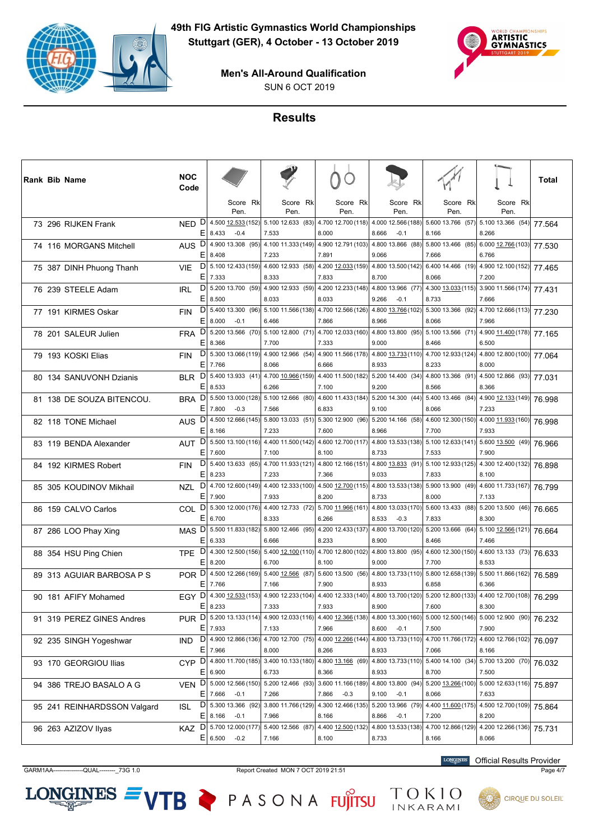



SUN 6 OCT 2019

# **Results**

|  | Rank Bib Name               | <b>NOC</b><br>Code             |           |                                  |                                                                   |       |                    |                                                                                     |                             |          |                                                                  | Total  |
|--|-----------------------------|--------------------------------|-----------|----------------------------------|-------------------------------------------------------------------|-------|--------------------|-------------------------------------------------------------------------------------|-----------------------------|----------|------------------------------------------------------------------|--------|
|  |                             |                                |           | Score Rk<br>Pen.                 | Score Rk<br>Pen.                                                  |       | Score Rk<br>Pen.   | Score Rk<br>Pen.                                                                    | Pen.                        | Score Rk | Score Rk<br>Pen.                                                 |        |
|  | 73 296 RIJKEN Frank         | D<br><b>NED</b><br>E.          | 8.433     | 4.500 12.533 (152)<br>$-0.4$     | 5.100 12.633 (83) 4.700 12.700 (118)<br>7.533                     | 8.000 |                    | 4.000 12.566 (188)<br>8.666<br>$-0.1$                                               | 8.166                       |          | 5.600 13.766 (57) 5.100 13.366 (54)<br>8.266                     | 77.564 |
|  | 74 116 MORGANS Mitchell     | AUS <sub>D</sub><br>E.         | 8.408     | 4.900 13.308 (95)                | 7.233                                                             | 7.891 |                    | 4.100 11.333 (149) 4.900 12.791 (103) 4.800 13.866 (88)<br>9.066                    | 7.666                       |          | 5.800 13.466 (85) 6.000 12.766 (103)<br>6.766                    | 77.530 |
|  | 75 387 DINH Phuong Thanh    | <b>VIE</b><br>Ε                |           |                                  | $D$ 5.100 12.433 (159) 4.600 12.933 (58)                          |       | 4.200 12.033 (159) | 4.800 13.500 (142)                                                                  |                             |          | 6.400 14.466 (19) 4.900 12.100 (152)                             | 77.465 |
|  | 76 239 STEELE Adam          | D<br><b>IRL</b>                | 7.333     |                                  | 8.333<br>5.200 13.700 (59) 4.900 12.933 (59) 4.200 12.233 (148)   | 7.833 |                    | 8.700<br>4.800 13.966 (77)                                                          | 8.066                       |          | 7.200<br>4.300 13.033 (115) 3.900 11.566 (174)                   | 77.431 |
|  | 77 191 KIRMES Oskar         | Ε<br>D<br><b>FIN</b>           | 8.500     |                                  | 8.033<br>5.400 13.300 (96) 5.100 11.566 (138) 4.700 12.566 (126)  | 8.033 |                    | 9.266<br>$-0.1$<br>4.800 13.766 (102)                                               | 8.733                       |          | 7.666<br>5.300 13.366 (92) 4.700 12.666 (113)                    | 77.230 |
|  |                             | Ε<br>D                         | 8.000     | $-0.1$<br>5.200 13.566 (70)      | 6.466<br>5.10012.800(71)                                          | 7.866 | 4.700 12.033 (160) | 8.966<br>4.800 13.800 (95)                                                          | 8.066                       |          | 7.966<br>5.100 13.566 (71) 4.900 $11.400(178)$                   |        |
|  | 78 201 SALEUR Julien        | <b>FRA</b><br>E.               | 8.366     |                                  | 7.700                                                             | 7.333 |                    | 9.000                                                                               | 8.466                       |          | 6.500                                                            | 77.165 |
|  | 79 193 KOSKI Elias          | D<br><b>FIN</b><br>Ε           | 7.766     | 5.300 13.066 (119)               | 4.900 12.966 (54) 4.900 11.566 (178)<br>8.066                     | 6.666 |                    | 4.800 13.733 (110)<br>8.933                                                         | 8.233                       |          | 4.700 12.933 (124) 4.800 12.800 (100)<br>8.000                   | 77.064 |
|  | 80 134 SANUVONH Dzianis     | D<br><b>BLR</b><br>Ε           | 8.533     | 5.400 13.933 (41)                | 6.266                                                             | 7.100 |                    | 4.700 10.966 (159) 4.400 11.500 (182) 5.200 14.400 (34)<br>9.200                    | 8.566                       |          | 4.800 13.366 (91) 4.500 12.866 (93)<br>8.366                     | 77.031 |
|  | 81 138 DE SOUZA BITENCOU.   | D<br><b>BRA</b>                |           |                                  | $5.50013.000(128)$ 5.100 12.666 (80)                              |       | 4.600 11.433 (184) | 5.200 14.300 (44)                                                                   |                             |          | 5.400 13.466 (84) 4.900 12.133 (149)                             | 76.998 |
|  | 82 118 TONE Michael         | E.<br>D<br><b>AUS</b>          | 7.800     | $-0.3$<br>4.500 12.666 (145)     | 7.566<br>5.800 13.033 (51) 5.300 12.900 (96)                      | 6.833 |                    | 9.100<br>5.200 14.166 (58)                                                          | 8.066                       |          | 7.233<br>4.600 12.300 (150) 4.000 11.933 (160)                   | 76.998 |
|  |                             | E.                             | 8.166     |                                  | 7.233<br>AUT D 5.500 13.100 (116) 4.400 11.500 (142)              | 7.600 |                    | 8.966<br>4.600 12.700 (117) 4.800 13.533 (138) 5.100 12.633 (141) 5.600 13.500 (49) | 7.700                       |          | 7.933                                                            |        |
|  | 83 119 BENDA Alexander      | E.                             | 7.600     |                                  | 7.100                                                             | 8.100 |                    | 8.733                                                                               | 7.533                       |          | 7.900                                                            | 76.966 |
|  | 84 192 KIRMES Robert        | D<br><b>FIN</b><br>E.          | 8.233     |                                  | 5.400 13.633 (65) 4.700 11.933 (121) 4.800 12.166 (151)<br>7.233  | 7.366 |                    | 4.800 13.833 (91)<br>9.033                                                          | 7.833                       |          | 5.100 12.933 (125) 4.300 12.400 (132)<br>8.100                   | 76.898 |
|  | 85 305 KOUDINOV Mikhail     | <b>NZL</b>                     | $E$ 7.900 | $D$ 4.700 12.600 (149)           | 4.400 12.333 (100) 4.500 12.700 (115)<br>7.933                    | 8.200 |                    | 4.800 13.533 (138)<br>8.733                                                         | 8.000                       |          | 5.900 13.900 (49) 4.600 11.733 (167)<br>7.133                    | 76.799 |
|  | 86 159 CALVO Carlos         | COL <sup>D</sup>               |           |                                  | 5.300 12.000 (176) 4.400 12.733 (72) 5.700 11.966 (161)           |       |                    | 4.800 13.033 (170)                                                                  |                             |          | 5.600 13.433 (88) 5.200 13.500 (46)                              | 76.665 |
|  | 87 286 LOO Phay Xing        | E.<br>MAS <sub>D</sub>         | 6.700     |                                  | 8.333<br>$5.50011.833(182)$ 5.800 12.466 (95)                     | 6.266 | 4.200 12.433 (137) | 8.533<br>$-0.3$<br>4.800 13.700 (120)                                               | 7.833                       |          | 8.300<br>$\boxed{5.200\ 13.666\ (64)}$ 5.100 12.566 (121) 76.664 |        |
|  |                             | E.                             | 6.333     |                                  | 6.666                                                             | 8.233 |                    | 8.900                                                                               | 8.466                       |          | 7.466                                                            |        |
|  | 88 354 HSU Ping Chien       | <b>TPE</b><br>Е                | 8.200     | $D$ 4.300 12.500 (156)           | 5.400 12.100 (110) 4.700 12.800 (102)<br>6.700                    | 8.100 |                    | 4.800 13.800 (95)<br>9.000                                                          | 7.700                       |          | 4.600 12.300 (150) 4.600 13.133 (73)<br>8.533                    | 76.633 |
|  | 89 313 AGUIAR BARBOSA P S   | POR D<br>E.                    | 7.766     |                                  | 4.500 12.266 (169) 5.400 12.566 (87)<br>7.166                     | 7.900 |                    | 5.600 13.500 (56) 4.800 13.733 (110) 5.800 12.658 (139) 5.500 11.866 (162)<br>8.933 | 6.858                       |          | 6.366                                                            | 76.589 |
|  | 90 181 AFIFY Mohamed        | D<br><b>EGY</b>                |           | 4.300 12.533 (153)               | 4.900 12.233 (104) 4.400 12.333 (140)                             |       |                    | 4.800 13.700 (120)                                                                  |                             |          | 5.200 12.800 (133) 4.400 12.700 (108)                            | 76.299 |
|  | 91 319 PEREZ GINES Andres   | Ε<br>D<br><b>PUR</b>           | 8.233     |                                  | 7.333<br>5.200 13.133 (114) 4.900 12.033 (116) 4.400 12.366 (138) | 7.933 |                    | 8.900<br>4.800 13.300 (160)                                                         | 7.600                       |          | 8.300<br>5.000 12.500 (146) 5.000 12.900 (90)                    | 76.232 |
|  |                             |                                | $E$ 7.933 | D 4.900 12.866 (136)             | 7.133<br>4.700 12.700 (75) 4.000 12.266 (144)                     | 7.966 |                    | 8.600<br>$-0.1$<br>4.800 13.733 (110)                                               | 7.500                       |          | 7.900                                                            |        |
|  | 92 235 SINGH Yogeshwar      | IND.<br>E.                     | 7.966     |                                  | 8.000                                                             | 8.266 |                    | 8.933                                                                               | 7.066                       |          | 4.700 11.766 (172) 4.600 12.766 (102)<br>8.166                   | 76.097 |
|  | 93 170 GEORGIOU Ilias       | CYP D 4.800 11.700 (185)<br>E. | 6.900     |                                  | 3.40010.133(180)<br>6.733                                         | 8.366 | 4.800 13.166 (69)  | 4.800 13.733 (110)<br>8.933                                                         | 8.700                       |          | 5.400 14.100 (34) 5.700 13.200 (70)<br>7.500                     | 76.032 |
|  | 94 386 TREJO BASALO A G     | D<br><b>VEN</b>                |           | 5.000 12.566 (150)               | $5.200$ 12.466 (93)                                               |       | 3.600 11.166 (189) | 4.800 13.800 (94)                                                                   |                             |          | 5.200 13.266 (100) 5.000 12.633 (116)                            | 75.897 |
|  | 95 241 REINHARDSSON Valgard | E.<br>D<br>ISL                 | 7.666     | $-0.1$<br>5.300 13.366 (92)      | 7.266<br>3.800 11.766 (129)                                       | 7.866 | $-0.3$             | 9.100<br>$-0.1$<br>4.300 12.466 (135) 5.200 13.966 (79)                             | 8.066                       |          | 7.633<br>4.400 11.600 (175) 4.500 12.700 (109)                   | 75.864 |
|  |                             | E,                             | 8.166     | $-0.1$<br>$D$ 5.700 12.000 (177) | 7.966<br>5.400 12.566 (87)                                        | 8.166 | 4.400 12.500 (132) | 8.866<br>$-0.1$<br>4.800 13.533 (138)                                               | 7.200<br>4.700 12.866 (129) |          | 8.200<br>4.200 12.266 (136)                                      |        |
|  | 96 263 AZIZOV Ilyas         | KAZ                            | E 6.500   | $-0.2$                           | 7.166                                                             | 8.100 |                    | 8.733                                                                               | 8.166                       |          | 8.066                                                            | 75.731 |

 $LONGINES =$ 

GARM1AA---------------QUAL--------\_73G 1.0 Report Created MON 7 OCT 2019 21:51 Page 4/7

VTB PASONA FUJITSU

**LONGINES** Official Results Provider

TOKIO<br>INKARAMI



**CIRQUE DU SOLEIL**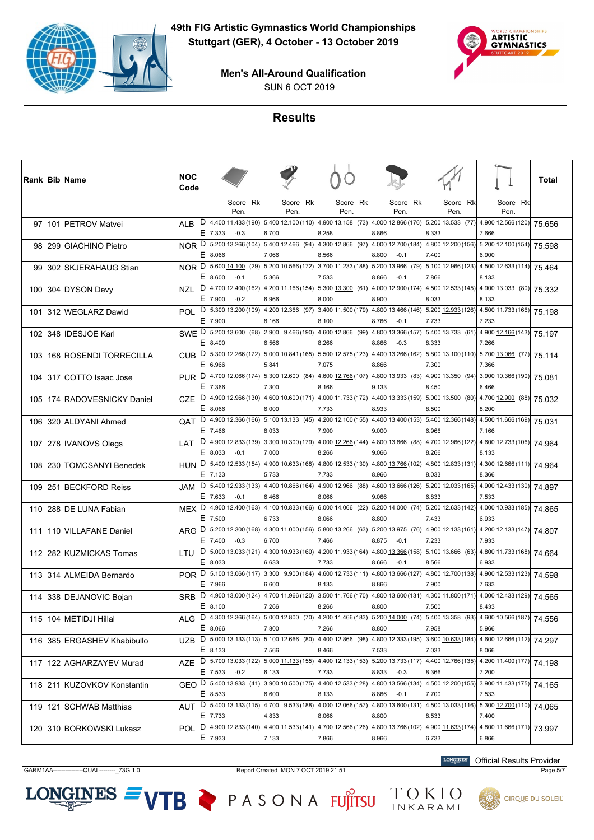



SUN 6 OCT 2019

# **Results**

|  | Rank Bib Name               | <b>NOC</b><br>Code      |             |                              |                                                       |       |                    |                                                                                                          |                             |                                                                                   | Total  |
|--|-----------------------------|-------------------------|-------------|------------------------------|-------------------------------------------------------|-------|--------------------|----------------------------------------------------------------------------------------------------------|-----------------------------|-----------------------------------------------------------------------------------|--------|
|  |                             |                         |             | Score Rk<br>Pen.             | Score Rk<br>Pen.                                      |       | Score Rk<br>Pen.   | Score Rk<br>Pen.                                                                                         | Score Rk<br>Pen.            | Score Rk<br>Pen.                                                                  |        |
|  | 97 101 PETROV Matvei        | D<br><b>ALB</b><br>E.   | 7.333       | 4.400 11.433 (190)<br>$-0.3$ | 5.400 12.100 (110)<br>6.700                           | 8.258 | 4.900 13.158 (73)  | 4.000 12.866 (176)<br>8.866                                                                              | 8.333                       | 5.200 13.533 (77) 4.900 12.566 (120)<br>7.666                                     | 75.656 |
|  | 98 299 GIACHINO Pietro      | NOR D<br>E.             | 8.066       |                              | 5.200 13.266 (104) 5.400 12.466 (94)<br>7.066         | 8.566 | 4.300 12.866 (97)  | 4.000 12.700 (184)<br>8.800<br>$-0.1$                                                                    | 7.400                       | 4.800 12.200 (156) 5.200 12.100 (154)<br>6.900                                    | 75.598 |
|  | 99 302 SKJERAHAUG Stian     | NOR D<br>E.             | 8.600       | 5.600 14.100 (29)<br>$-0.1$  | 5.200 10.566 (172)<br>5.366                           | 7.533 | 3.700 11.233 (188) | 5.200 13.966 (79)<br>8.866<br>$-0.1$                                                                     | 7.866                       | $\left. 5.100\ 12.966(123) \right $ 4.500 12.633(114) 75.464<br>8.133             |        |
|  | 100 304 DYSON Devy          | D<br><b>NZL</b><br>E.   | 7.900       | 4.700 12.400 (162)<br>$-0.2$ | 4.200 11.166 (154)<br>6.966                           | 8.000 | 5.300 13.300 (61)  | 4.000 12.900 (174)<br>8.900                                                                              | 4.500 12.533 (145)<br>8.033 | 4.900 13.033 (80)<br>8.133                                                        | 75.332 |
|  | 101 312 WEGLARZ Dawid       | POL.<br>E.              | 7.900       |                              | $D$   5.300 13.200 (109)  4.200 12.366 (97) <br>8.166 | 8.100 | 3.400 11.500 (179) | 4.800 13.466 (146)<br>8.766<br>$-0.1$                                                                    | 5.200 12.933 (126)<br>7.733 | 4.500 11.733 (166)<br>7.233                                                       | 75.198 |
|  | 102 348 IDESJOE Karl        | SWE D<br>E.             | 8.400       |                              | $5.20013.600(68)$ 2.900 9.466 (190)<br>6.566          | 8.266 | 4.600 12.866 (99)  | 4.800 13.366 (157)<br>8.866<br>$-0.3$                                                                    | 8.333                       | $\overline{5.400}$ 13.733 (61) 4.900 12.166 (143) 75.197<br>7.266                 |        |
|  | 103 168 ROSENDI TORRECILLA  | D<br>CUB.<br>E.         | 6.966       | 5.300 12.266 (172)           | 5.000 10.841 (165)<br>5.841                           | 7.075 | 5.500 12.575 (123) | 4.400 13.266 (162)<br>8.866                                                                              | 7.300                       | $\left. 5.800\ 13.100(110) \right  5.700\ 13.066$ (77) 75.114<br>7.366            |        |
|  | 104 317 COTTO Isaac Jose    | PUR <sup>D</sup><br>E.  | 7.366       |                              | 4.700 12.066 (174) 5.300 12.600 (84)<br>7.300         | 8.166 | 4.600 12.766 (107) | 4.800 13.933 (83)<br>9.133                                                                               | 8.450                       | 4.900 13.350 (94) 3.900 10.366 (190)<br>6.466                                     | 75.081 |
|  | 105 174 RADOVESNICKY Daniel | D<br><b>CZE</b><br>E.   | 8.066       |                              | 4.900 12.966 (130) 4.600 10.600 (171)<br>6.000        | 7.733 |                    | 4.000 11.733 (172) 4.400 13.333 (159) 5.000 13.500 (80) 4.700 12.900 (88)<br>8.933                       | 8.500                       | 8.200                                                                             | 75.032 |
|  | 106 320 ALDYANI Ahmed       | D<br>QAT<br>Е           | 7.466       | 4.900 12.366 (166)           | 5.100 13.133 (45)<br>8.033                            | 7.900 | 4.200 12.100 (155) | 4.400 13.400 (153)<br>9.000                                                                              | 5.400 12.366 (148)<br>6.966 | 4.500 11.666 (169)<br>7.166                                                       | 75.031 |
|  | 107 278 IVANOVS Olegs       | D<br>LAT<br>E.          | 8.033       | $-0.1$                       | 4.900 12.833 (139) 3.300 10.300 (179)<br>7.000        | 8.266 | 4.000 12.266 (144) | 4.800 13.866 (88)<br>9.066                                                                               | 4.700 12.966 (122)<br>8.266 | 4.600 12.733 (106)<br>8.133                                                       | 74.964 |
|  | 108 230 TOMCSANYI Benedek   | D<br><b>HUN</b><br>E.   | 7.133       |                              | 5.400 12.533 (154) 4.900 10.633 (168)<br>5.733        | 7.733 | 4.800 12.533 (130) | 4.800 13.766 (102)<br>8.966                                                                              | 8.033                       | 4.800 12.833 (131) 4.300 12.666 (111) 74.964<br>8.366                             |        |
|  | 109 251 BECKFORD Reiss      | D<br><b>JAM</b><br>E    | 7.633       | 5.400 12.933 (133)<br>$-0.1$ | 4.400 10.866 (164)<br>6.466                           | 8.066 | 4.900 12.966 (88)  | 4.600 13.666 (126)<br>9.066                                                                              | 5.20012.033(165)<br>6.833   | 4.900 12.433 (130)<br>7.533                                                       | 74.897 |
|  | 110 288 DE LUNA Fabian      | MEX <sub>Di</sub><br>E. | 7.500       |                              | 4.900 12.400 (163) 4.100 10.833 (166)<br>6.733        | 8.066 | 6.000 14.066 (22)  | 5.200 14.000 (74)<br>8.800                                                                               | 7.433                       | $\left. 5.200\ 12.633(142) \right  4.000\underline{10.933} (185)$ 74.865<br>6.933 |        |
|  | 111 110 VILLAFANE Daniel    | ARG D<br>Е              | 7.400       | $-0.3$                       | 5.200 12.300 (168) 4.300 11.000 (156)<br>6.700        | 7.466 | 5.800 13.266 (63)  | 5.200 13.975 (76)<br>8.875<br>$-0.1$                                                                     | 7.233                       | $4.900$ 12.133 (161) $4.200$ 12.133 (147) 74.807<br>7.933                         |        |
|  | 112 282 KUZMICKAS Tomas     | D<br>LTU<br>Е           | 8.033       | 5.000 13.033 (121)           | 4.300 10.933 (160)<br>6.633                           | 7.733 | 4.200 11.933 (164) | 4.800 13.366 (158)<br>8.666<br>$-0.1$                                                                    | 5.100 13.666 (63)<br>8.566  | 4.800 11.733 (168)<br>6.933                                                       | 74.664 |
|  | 113 314 ALMEIDA Bernardo    | POR D<br>E.             | 7.966       |                              | $5.10013.066(117)$ 3.300 $9.900(184)$<br>6.600        | 8.133 | 4.600 12.733 (111) | 4.800 13.666 (127)<br>8.866                                                                              | 4.800 12.700 (138)<br>7.900 | 4.900 12.533 (123)<br>7.633                                                       | 74.598 |
|  | 114 338 DEJANOVIC Bojan     | <b>SRB</b>              | E 8.100     |                              | $D$ 4.900 13.000 (124) 4.700 11.966 (120)<br>7.266    | 8.266 |                    | 3.500 11.766 (170) 4.800 13.600 (131)<br>8.800                                                           | 7.500                       | 4.300 11.800 (171) 4.000 12.433 (129) 74.565<br>8.433                             |        |
|  | 115 104 METIDJI Hillal      | ALG D<br>Е              | 8.066       | 4.300 12.366 (164)           | 5.000 12.800 (70)<br>7.800                            | 7.266 | 4.200 11.466 (183) | 5.200 14.000 (74)<br>8.800                                                                               | 5.400 13.358 (93)<br>7.958  | 4.600 10.566 (187)<br>5.966                                                       | 74.556 |
|  | 116 385 ERGASHEV Khabibullo | E                       | 8.133       |                              | UZB D 5.000 13.133 (113) 5.100 12.666 (80)<br>7.566   | 8.466 | 4.400 12.866 (98)  | 4.800 12.333 (195)<br>7.533                                                                              | 7.033                       | 3.600 10.633 (184) 4.600 12.666 (112)<br>8.066                                    | 74.297 |
|  | 117 122 AGHARZAYEV Murad    | AZE                     | $E$ 7.533   | $-0.2$                       | 6.133                                                 | 7.733 |                    | D   5.700 13.033 (122)   5.000 11.133 (155)   4.400 12.133 (153)   5.200 13.733 (117)<br>8.833<br>$-0.3$ | 8.366                       | $4.400 12.766(135) 4.200 11.400(177) 74.198$<br>7.200                             |        |
|  | 118 211 KUZOVKOV Konstantin | GEO DI<br>E.            | 8.533       | 5.400 13.933 (41)            | 3.900 10.500 (175)<br>6.600                           | 8.133 | 4.400 12.533 (128) | 4.800 13.566 (134)<br>8.866<br>$-0.1$                                                                    | 7.700                       | 4.500 12.200 (155) 3.900 11.433 (175)<br>7.533                                    | 74.165 |
|  | 119 121 SCHWAB Matthias     |                         | $E$   7.733 |                              | AUT D 5.400 13.133 (115) 4.700 9.533 (188)<br>4.833   | 8.066 | 4.000 12.066 (157) | 4.800 13.600 (131)<br>8.800                                                                              | 8.533                       | 4.500 13.033 (116) 5.300 12.700 (110)<br>7.400                                    | 74.065 |
|  | 120 310 BORKOWSKI Lukasz    | POL.                    | $E$ 7.933   |                              | $D$ 4.900 12.833 (140) 4.400 11.533 (141)<br>7.133    | 7.866 | 4.700 12.566 (126) | 4.800 13.766 (102)<br>8.966                                                                              | 6.733                       | 4.900 11.633 (174) 4.800 11.666 (171)<br>6.866                                    | 73.997 |

 $LONGINES =$ 

GARM1AA---------------QUAL--------\_73G 1.0 Report Created MON 7 OCT 2019 21:51 Page 5/7

VTB PASONA FUJITSU TOKIO

**LONGINES** Official Results Provider

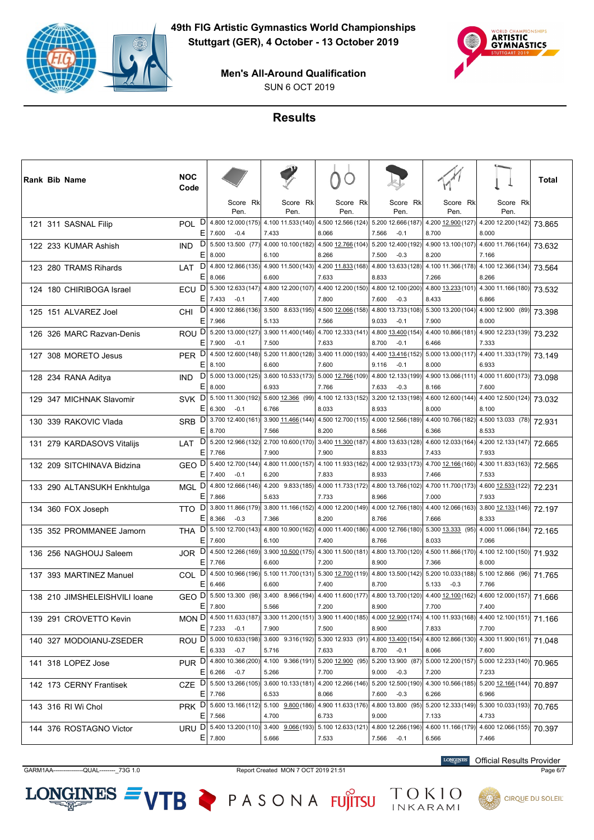



SUN 6 OCT 2019

# **Results**

| Rank Bib Name                 | <b>NOC</b><br>Code   |                                                                                                        |                                           |                                                                   |                                       |                             |                                                                          | Total  |
|-------------------------------|----------------------|--------------------------------------------------------------------------------------------------------|-------------------------------------------|-------------------------------------------------------------------|---------------------------------------|-----------------------------|--------------------------------------------------------------------------|--------|
|                               |                      | Score Rk<br>Pen.                                                                                       | Score Rk<br>Pen.                          | Score Rk<br>Pen.                                                  | Score Rk<br>Pen.                      | Score Rk<br>Pen.            | Score Rk<br>Pen.                                                         |        |
| 121 311 SASNAL Filip          | D<br>POL<br>Ε        | 4.800 12.000 (175)<br>7.600<br>$-0.4$                                                                  | 4.100 11.533 (140)<br>7.433               | 4.500 12.566 (124)<br>8.066                                       | 5.200 12.666 (187)<br>7.566<br>$-0.1$ | 8.700                       | 4.200 12.900 (127) 4.200 12.200 (142)<br>8.000                           | 73.865 |
| 122 233 KUMAR Ashish          | D<br><b>IND</b><br>Ε | 5.500 13.500 (77)<br>8.000                                                                             | 4.000 10.100 (182)<br>6.100               | 4.500 12.766 (104)<br>8.266                                       | 5.200 12.400 (192)<br>7.500<br>$-0.3$ | 8.200                       | 4.900 13.100 (107) 4.600 11.766 (164)<br>7.166                           | 73.632 |
| 123 280 TRAMS Rihards         | LAT<br>Е             | $D$ 4.800 12.866 (135) 4.900 11.500 (143) 4.200 11.833 (168)<br>8.066                                  | 6.600                                     | 7.633                                                             | 4.800 13.633 (128)<br>8.833           | 7.266                       | 4.100 11.366 (178) 4.100 12.366 (134)<br>8.266                           | 73.564 |
| 124 180 CHIRIBOGA Israel      | D<br>ECU<br>E.       | 5.300 12.633 (147)<br>7.433<br>$-0.1$                                                                  | 4.800 12.200 (107)<br>7.400               | 4.400 12.200 (150)<br>7.800                                       | 4.800 12.100 (200)<br>$-0.3$<br>7.600 | 4.800 13.233 (101)<br>8.433 | 4.300 11.166 (180)<br>6.866                                              | 73.532 |
| 125 151 ALVAREZ Joel          | D<br><b>CHI</b><br>Е | 4.900 12.866 (136)<br>7.966                                                                            | 5.133                                     | $3.500$ $8.633(195)$ 4.500 12.066 (158)<br>7.566                  | 4.800 13.733 (108)<br>9.033<br>$-0.1$ | 7.900                       | 5.300 13.200 (104) 4.900 12.900 (89)<br>8.000                            | 73.398 |
| 126 326 MARC Razvan-Denis     | <b>ROU</b>           | D 5.200 13.000 (127) 3.900 11.400 (146) 4.700 12.333 (141)<br>$E$ 7.900<br>$-0.1$                      | 7.500                                     | 7.633                                                             | 4.800 13.400 (154)<br>8.700<br>$-0.1$ | 6.466                       | 4.400 10.866 (181) 4.900 12.233 (139)<br>7.333                           | 73.232 |
| 127 308 MORETO Jesus          | D<br><b>PER</b><br>Ε | 4.500 12.600 (148)<br>8.100                                                                            | 6.600                                     | 5.200 11.800 (128) 3.400 11.000 (193)<br>7.600                    | 4.400 13.416 (152)<br>9.116<br>$-0.1$ | 8.000                       | 5.000 13.000 (117) 4.400 11.333 (179)<br>6.933                           | 73.149 |
| 128 234 RANA Aditya           | D<br><b>IND</b><br>Ε | 8.000                                                                                                  | 6.933                                     | 5.000 13.000 (125) 3.600 10.533 (173) 5.000 12.766 (109)<br>7.766 | 4.800 12.133 (199)<br>7.633<br>$-0.3$ | 8.166                       | 4.900 13.066 (111) 4.000 11.600 (173)<br>7.600                           | 73.098 |
| 129 347 MICHNAK Slavomir      | <b>SVK</b><br>Е      | $D$ 5.100 11.300 (192)<br>6.300<br>$-0.1$                                                              | 6.766                                     | 5.600 12.366 (99) 4.100 12.133 (152)<br>8.033                     | 3.200 12.133 (198)<br>8.933           | 8.000                       | 4.600 12.600 (144) 4.400 12.500 (124)<br>8.100                           | 73.032 |
| 130 339 RAKOVIC Vlada         | D<br><b>SRB</b><br>Ε | 3.700 12.400 (161)<br>8.700                                                                            | 3.900 11.466 (144)<br>7.566               | 4.500 12.700 (115)<br>8.200                                       | 4.000 12.566 (189)<br>8.566           | 4.400 10.766 (182)<br>6.366 | 4.500 13.033 (78)<br>8.533                                               | 72.931 |
| 131 279 KARDASOVS Vitalijs    | LAT<br>Е             | D 5.200 12.966 (132) 2.700 10.600 (170) 3.400 11.300 (187)<br>7.766                                    | 7.900                                     | 7.900                                                             | 4.800 13.633 (128)<br>8.833           | 7.433                       | 4.600 12.033 (164) 4.200 12.133 (147)<br>7.933                           | 72.665 |
| 132 209 SITCHINAVA Bidzina    |                      | GEO D 5.400 12.700 (144) 4.800 11.000 (157) 4.100 11.933 (162) 4.000 12.933 (173)<br>E 7.400<br>$-0.1$ | 6.200                                     | 7.833                                                             | 8.933                                 | 7.466                       | 4.700 12.166 (160) 4.300 11.833 (163)<br>7.533                           | 72.565 |
| 133 290 ALTANSUKH Enkhtulga   | D<br>MGL<br>Ε        | 4.800 12.666 (146)<br>7.866                                                                            | 4.200 9.833 (185)<br>5.633                | 4.000 11.733 (172)<br>7.733                                       | 4.800 13.766 (102)<br>8.966           | 7.000                       | 4.700 11.700 (173) 4.600 12.533 (122)<br>7.933                           | 72.231 |
| 134 360 FOX Joseph            | D<br>TTO.<br>Ε       | 3.800 11.866 (179)<br>$-0.3$<br>8.366                                                                  | 7.366                                     | 3.800 11.166 (152) 4.000 12.200 (149)<br>8.200                    | 4.000 12.766 (180)<br>8.766           | 7.666                       | 4.400 12.066 (163) 3.800 12.133 (146)<br>8.333                           | 72.197 |
| 135 352 PROMMANEE Jamorn      | <b>THA</b><br>E      | $D$ 5.100 12.700 (143) 4.800 10.900 (162) 4.000 11.400 (186)<br>7.600                                  | 6.100                                     | 7.400                                                             | 4.000 12.766 (180)<br>8.766           | 8.033                       | 5.300 13.333 (95) 4.000 11.066 (184)<br>7.066                            | 72.165 |
| 136 256 NAGHOUJ Saleem        | D<br><b>JOR</b><br>Ε | 4.500 12.266 (169)<br>7.766                                                                            | $3.900 \underline{10.500} (175)$<br>6.600 | 4.300 11.500 (181)<br>7.200                                       | 4.800 13.700 (120)<br>8.900           | 7.366                       | 4.500 11.866 (170) 4.100 12.100 (150)<br>8.000                           | 71.932 |
| 137 393 MARTINEZ Manuel       | D<br>COL.<br>E.      | 6.466                                                                                                  | 6.600                                     | 4.500 10.966 (196) 5.100 11.700 (131) 5.300 12.700 (119)<br>7.400 | 4.800 13.500 (142)<br>8.700           | 5.133<br>$-0.3$             | 5.200 10.033 (188) 5.100 12.866 (96)<br>7.766                            | 71.765 |
| 138 210 JIMSHELEISHVILI Ioane | GEO<br>E.            | $D $ 5.500 13.300 (98)<br>7.800                                                                        | 5.566                                     | 3.400 8.966 (194) 4.400 11.600 (177)<br>7.200                     | 8.900                                 | 7.700                       | 4.800 13.700 (120) 4.400 12.100 (162) 4.600 12.000 (157) 71.666<br>7.400 |        |
| 139 291 CROVETTO Kevin        |                      | MON D 4.500 11.633 (187)<br>$E$ 7.233<br>$-0.1$                                                        | 7.900                                     | 3.300 11.200 (151) 3.900 11.400 (185)<br>7.500                    | 4.000 12.900 (174)<br>8.900           | 7.833                       | 4.100 11.933 (168) 4.400 12.100 (151)<br>7.700                           | 71.166 |
| 140 327 MODOIANU-ZSEDER       |                      | ROU D 5.000 10.633 (198)<br>$E$   6.333 -0.7                                                           | 5.716                                     | 3.600 9.316 (192) 5.300 12.933 (91)<br>7.633                      | 4.800 13.400 (154)<br>8.700<br>$-0.1$ | 8.066                       | 4.800 12.866 (130) 4.300 11.900 (161)<br>7.600                           | 71.048 |
| 141 318 LOPEZ Jose            |                      | PUR D 4.800 10.366 (200)<br>$E$ 6.266<br>$-0.7$                                                        | 5.266                                     | 4.100 9.366 (191) 5.200 12.900 (95) 5.200 13.900 (87)<br>7.700    | 9.000<br>$-0.3$                       | 7.200                       | 5.000 12.200 (157) 5.000 12.233 (140)<br>7.233                           | 70.965 |
| 142 173 CERNY Frantisek       | <b>CZE</b>           | $D$ 5.500 13.266 (105)<br>$E$ 7.766                                                                    | 6.533                                     | 3.600 10.133 (181) 4.200 12.266 (146)<br>8.066                    | 5.200 12.500 (190)<br>7.600<br>$-0.3$ | 6.266                       | 4.300 10.566 (185) 5.200 12.166 (144)<br>6.966                           | 70.897 |
| 143 316 RI Wi Chol            |                      | PRK D 5.600 13.166 (112) 5.100 9.800 (186)<br>$E$   7.566                                              | 4.700                                     | 4.900 11.633 (176)<br>6.733                                       | 4.800 13.800 (95)<br>9.000            | 7.133                       | 5.200 12.333 (149) 5.300 10.033 (193)<br>4.733                           | 70.765 |
| 144 376 ROSTAGNO Victor       |                      | URU D 5.400 13.200 (110)<br>$E$ 7.800                                                                  | 5.666                                     | $3.400$ $9.066(193)$ 5.100 12.633(121)<br>7.533                   | 4.800 12.266 (196)<br>7.566 -0.1      | 6.566                       | 4.600 11.166 (179) 4.600 12.066 (155)<br>7.466                           | 70.397 |

GARM1AA---------------QUAL--------\_73G 1.0 Report Created MON 7 OCT 2019 21:51 Page 6/7

 $LONGINES =$ 

VTB PASONA FUJITSU

**LONGINES** Official Results Provider

TOKIO<br>INKARAMI